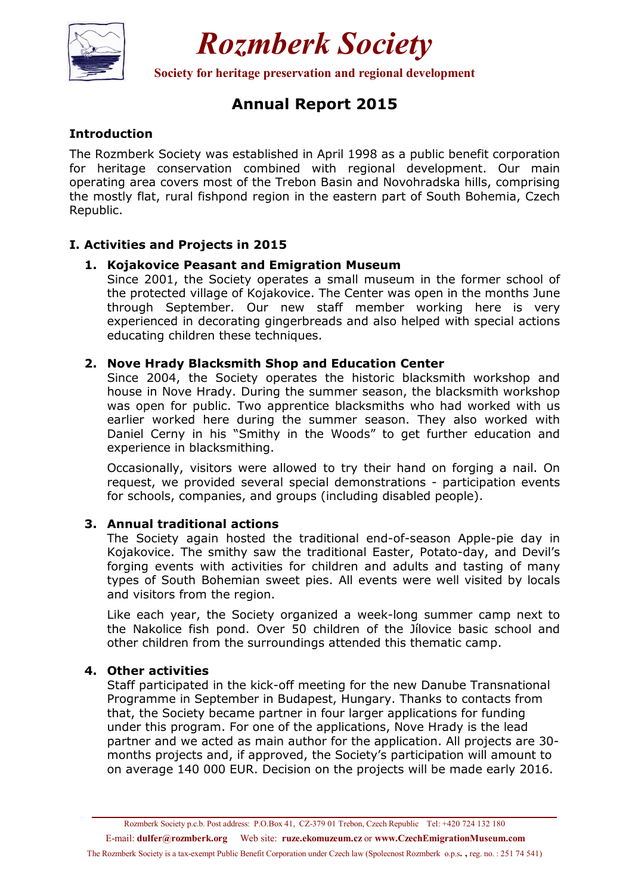

# *Rozmberk Society*

**Society for heritage preservation and regional development** 

# **Annual Report 2015**

# **Introduction**

The Rozmberk Society was established in April 1998 as a public benefit corporation for heritage conservation combined with regional development. Our main operating area covers most of the Trebon Basin and Novohradska hills, comprising the mostly flat, rural fishpond region in the eastern part of South Bohemia, Czech Republic.

# **I. Activities and Projects in 2015**

#### **1. Kojakovice Peasant and Emigration Museum**

Since 2001, the Society operates a small museum in the former school of the protected village of Kojakovice. The Center was open in the months June through September. Our new staff member working here is very experienced in decorating gingerbreads and also helped with special actions educating children these techniques.

#### **2. Nove Hrady Blacksmith Shop and Education Center**

Since 2004, the Society operates the historic blacksmith workshop and house in Nove Hrady. During the summer season, the blacksmith workshop was open for public. Two apprentice blacksmiths who had worked with us earlier worked here during the summer season. They also worked with Daniel Cerny in his "Smithy in the Woods" to get further education and experience in blacksmithing.

Occasionally, visitors were allowed to try their hand on forging a nail. On request, we provided several special demonstrations - participation events for schools, companies, and groups (including disabled people).

#### **3. Annual traditional actions**

The Society again hosted the traditional end-of-season Apple-pie day in Kojakovice. The smithy saw the traditional Easter, Potato-day, and Devil's forging events with activities for children and adults and tasting of many types of South Bohemian sweet pies. All events were well visited by locals and visitors from the region.

Like each year, the Society organized a week-long summer camp next to the Nakolice fish pond. Over 50 children of the Jílovice basic school and other children from the surroundings attended this thematic camp.

### **4. Other activities**

Staff participated in the kick-off meeting for the new Danube Transnational Programme in September in Budapest, Hungary. Thanks to contacts from that, the Society became partner in four larger applications for funding under this program. For one of the applications, Nove Hrady is the lead partner and we acted as main author for the application. All projects are 30 months projects and, if approved, the Society's participation will amount to on average 140 000 EUR. Decision on the projects will be made early 2016.

E-mail: **dulfer@rozmberk.org** Web site: **ruze.ekomuzeum.cz** or **www.CzechEmigrationMuseum.com** 

The Rozmberk Society is a tax-exempt Public Benefit Corporation under Czech law (Spolecnost Rozmberk o.p.s**. ,** reg. no. : 251 74 541)